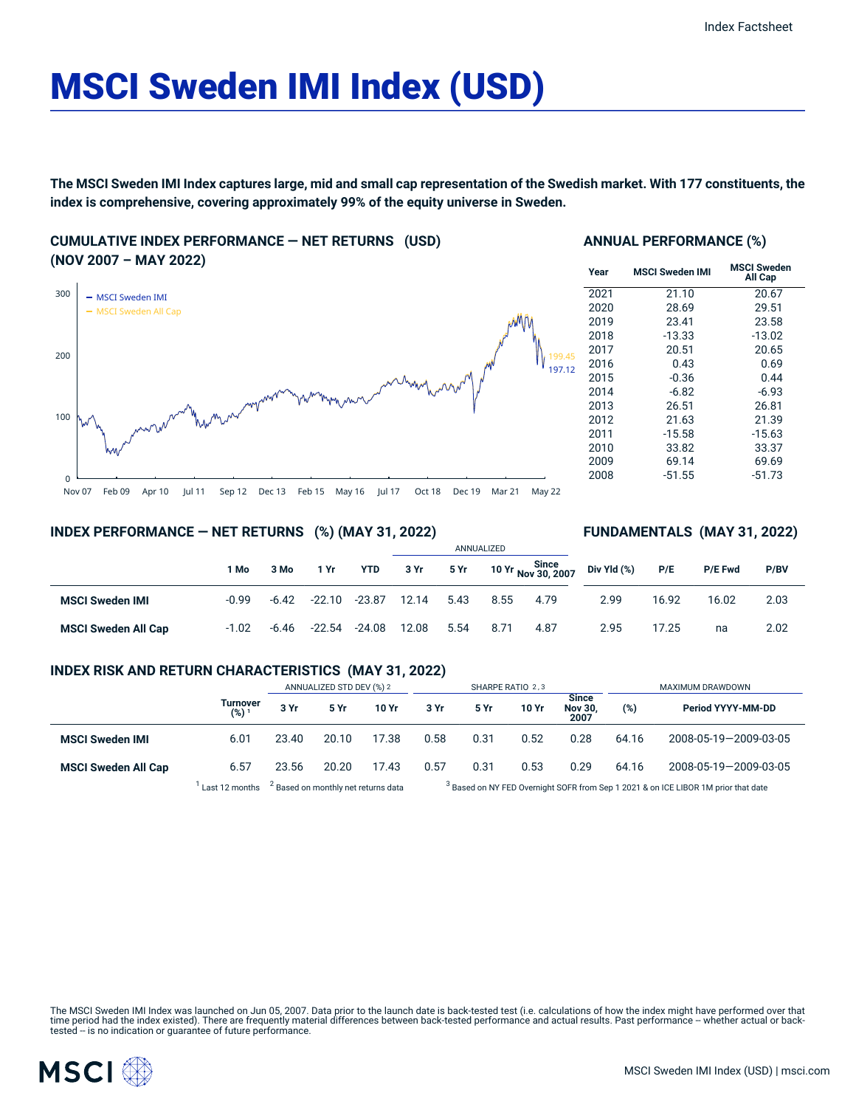# MSCI Sweden IMI Index (USD)

The MSCI Sweden IMI Index captures large, mid and small cap representation of the Swedish market. With 177 constituents, the **index is comprehensive, covering approximately 99% of the equity universe in Sweden.**

**CUMULATIVE INDEX PERFORMANCE — NET RETURNS (USD) (NOV 2007 – MAY 2022)**



### **ANNUAL PERFORMANCE (%)**

| Year | <b>MSCI Sweden IMI</b> | MSCI Sweden<br>All Cap |
|------|------------------------|------------------------|
| 2021 | 21.10                  | 20.67                  |
| 2020 | 28.69                  | 29.51                  |
| 2019 | 23.41                  | 23.58                  |
| 2018 | $-13.33$               | $-13.02$               |
| 2017 | 20.51                  | 20.65                  |
| 2016 | 0.43                   | 0.69                   |
| 2015 | $-0.36$                | 0.44                   |
| 2014 | $-6.82$                | $-6.93$                |
| 2013 | 26.51                  | 26.81                  |
| 2012 | 21.63                  | 21.39                  |
| 2011 | $-15.58$               | $-15.63$               |
| 2010 | 33.82                  | 33.37                  |
| 2009 | 69.14                  | 69.69                  |
| 2008 | $-51.55$               | $-51.73$               |

**FUNDAMENTALS (MAY 31, 2022)**

## **INDEX PERFORMANCE — NET RETURNS (%) (MAY 31, 2022)**

#### ANNUALIZED **1 Mo 3 Mo 1 Yr YTD 3 Yr 5 Yr 10 Yr Since Nov 30, 2007 MSCI Sweden IMI** -0.99 -6.42 -22.10 -23.87 12.14 5.43 8.55 4.79 **MSCI Sweden All Cap** -1.02 -6.46 -22.54 -24.08 12.08 5.54 8.71 4.87 **Div Yld (%) P/E P/E Fwd P/BV** 2.99 16.92 16.02 2.03 2.95 17.25 na 2.02

## **INDEX RISK AND RETURN CHARACTERISTICS (MAY 31, 2022)**

|                            |                              | ANNUALIZED STD DEV (%) 2 |       | SHARPE RATIO 2,3 |      |      |       | MAXIMUM DRAWDOWN                       |       |                       |
|----------------------------|------------------------------|--------------------------|-------|------------------|------|------|-------|----------------------------------------|-------|-----------------------|
|                            | Turnover<br>(%) <sup>1</sup> | 3 Yr                     | 5 Yr  | 10 Yr            | 3 Yr | 5 Yr | 10 Yr | <b>Since</b><br><b>Nov 30.</b><br>2007 | (%)   | Period YYYY-MM-DD     |
| <b>MSCI Sweden IMI</b>     | 6.01                         | 23.40                    | 20.10 | 17.38            | 0.58 | 0.31 | 0.52  | 0.28                                   | 64.16 | 2008-05-19-2009-03-05 |
| <b>MSCI Sweden All Cap</b> | 6.57                         | 23.56                    | 20.20 | 17.43            | 0.57 | 0.31 | 0.53  | 0.29                                   | 64.16 | 2008-05-19-2009-03-05 |

 $^1$  Last 12 months  $^2$  Based on monthly net returns data  $^3$ 

<sup>3</sup> Based on NY FED Overnight SOFR from Sep 1 2021 & on ICE LIBOR 1M prior that date

The MSCI Sweden IMI Index was launched on Jun 05, 2007. Data prior to the launch date is back-tested test (i.e. calculations of how the index might have performed over that<br>time period had the index existed). There are fre

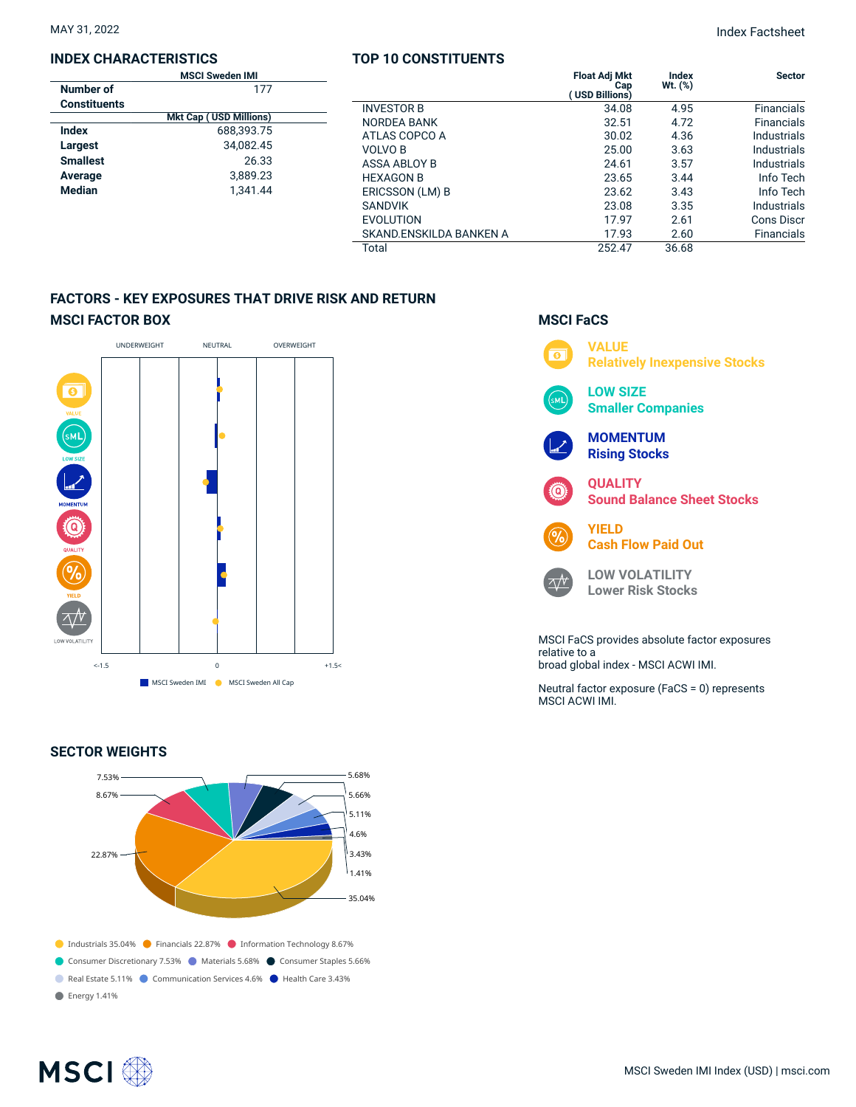### **INDEX CHARACTERISTICS**

| <b>MSCI Sweden IMI</b> |                               |  |  |
|------------------------|-------------------------------|--|--|
| Number of              | 177                           |  |  |
| <b>Constituents</b>    |                               |  |  |
|                        | <b>Mkt Cap (USD Millions)</b> |  |  |
| Index                  | 688.393.75                    |  |  |
| Largest                | 34.082.45                     |  |  |
| <b>Smallest</b>        | 26.33                         |  |  |
| Average                | 3.889.23                      |  |  |
| <b>Median</b>          | 1.341.44                      |  |  |
|                        |                               |  |  |

## **TOP 10 CONSTITUENTS**

|                         | <b>Float Adj Mkt</b>        | <b>Index</b> | <b>Sector</b>      |
|-------------------------|-----------------------------|--------------|--------------------|
|                         | Cap<br><b>USD Billions)</b> | $Wt.$ $(\%)$ |                    |
| <b>INVESTOR B</b>       | 34.08                       | 4.95         | <b>Financials</b>  |
| <b>NORDEA BANK</b>      | 32.51                       | 4.72         | <b>Financials</b>  |
| ATLAS COPCO A           | 30.02                       | 4.36         | <b>Industrials</b> |
| <b>VOLVO B</b>          | 25.00                       | 3.63         | Industrials        |
| ASSA ABLOY B            | 24.61                       | 3.57         | Industrials        |
| <b>HEXAGON B</b>        | 23.65                       | 3.44         | Info Tech          |
| ERICSSON (LM) B         | 23.62                       | 3.43         | Info Tech          |
| <b>SANDVIK</b>          | 23.08                       | 3.35         | Industrials        |
| <b>EVOLUTION</b>        | 17.97                       | 2.61         | Cons Discr         |
| SKAND.ENSKILDA BANKEN A | 17.93                       | 2.60         | <b>Financials</b>  |
| Total                   | 252.47                      | 36.68        |                    |

## **FACTORS - KEY EXPOSURES THAT DRIVE RISK AND RETURN MSCI FACTOR BOX**



## **SECTOR WEIGHTS**



## **MSCI FaCS**



relative to a broad global index - MSCI ACWI IMI.

Neutral factor exposure (FaCS = 0) represents MSCI ACWI IMI.